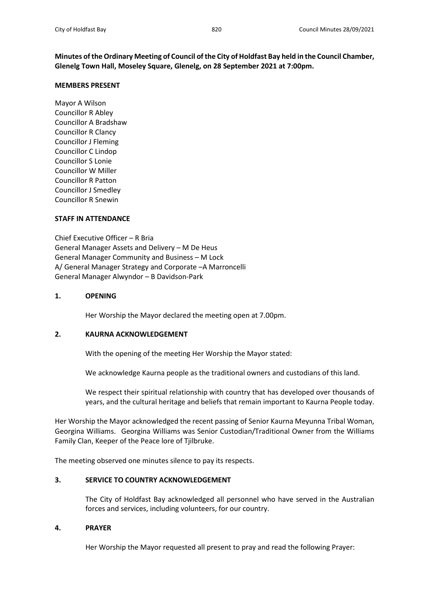**Minutes of the Ordinary Meeting of Council of the City of Holdfast Bay held in the Council Chamber, Glenelg Town Hall, Moseley Square, Glenelg, on 28 September 2021 at 7:00pm.**

## **MEMBERS PRESENT**

Mayor A Wilson Councillor R Abley Councillor A Bradshaw Councillor R Clancy Councillor J Fleming Councillor C Lindop Councillor S Lonie Councillor W Miller Councillor R Patton Councillor J Smedley Councillor R Snewin

# **STAFF IN ATTENDANCE**

Chief Executive Officer – R Bria General Manager Assets and Delivery – M De Heus General Manager Community and Business – M Lock A/ General Manager Strategy and Corporate –A Marroncelli General Manager Alwyndor – B Davidson-Park

## **1. OPENING**

Her Worship the Mayor declared the meeting open at 7.00pm.

# **2. KAURNA ACKNOWLEDGEMENT**

With the opening of the meeting Her Worship the Mayor stated:

We acknowledge Kaurna people as the traditional owners and custodians of this land.

We respect their spiritual relationship with country that has developed over thousands of years, and the cultural heritage and beliefs that remain important to Kaurna People today.

Her Worship the Mayor acknowledged the recent passing of Senior Kaurna Meyunna Tribal Woman, Georgina Williams. Georgina Williams was Senior Custodian/Traditional Owner from the Williams Family Clan, Keeper of the Peace lore of Tjilbruke.

The meeting observed one minutes silence to pay its respects.

# **3. SERVICE TO COUNTRY ACKNOWLEDGEMENT**

The City of Holdfast Bay acknowledged all personnel who have served in the Australian forces and services, including volunteers, for our country.

## **4. PRAYER**

Her Worship the Mayor requested all present to pray and read the following Prayer: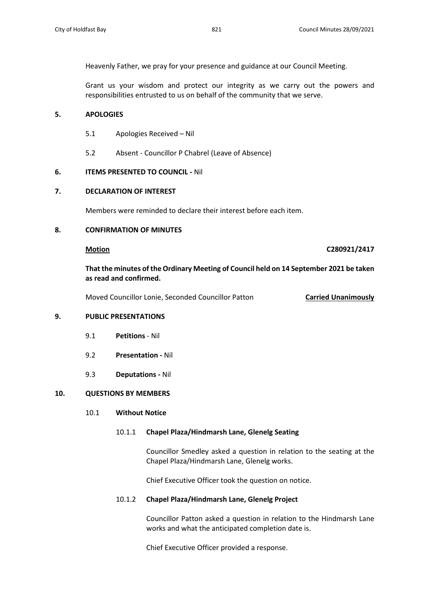Heavenly Father, we pray for your presence and guidance at our Council Meeting.

Grant us your wisdom and protect our integrity as we carry out the powers and responsibilities entrusted to us on behalf of the community that we serve.

## **5. APOLOGIES**

- 5.1 Apologies Received Nil
- 5.2 Absent Councillor P Chabrel (Leave of Absence)

# **6. ITEMS PRESENTED TO COUNCIL -** Nil

## **7. DECLARATION OF INTEREST**

Members were reminded to declare their interest before each item.

## **8. CONFIRMATION OF MINUTES**

## **Motion C280921/2417**

# **That the minutes of the Ordinary Meeting of Council held on 14 September 2021 be taken as read and confirmed.**

Moved Councillor Lonie, Seconded Councillor Patton **Carried Unanimously**

## **9. PUBLIC PRESENTATIONS**

- 9.1 **Petitions** Nil
- 9.2 **Presentation -** Nil
- 9.3 **Deputations -** Nil

# **10. QUESTIONS BY MEMBERS**

## 10.1 **Without Notice**

## 10.1.1 **Chapel Plaza/Hindmarsh Lane, Glenelg Seating**

Councillor Smedley asked a question in relation to the seating at the Chapel Plaza/Hindmarsh Lane, Glenelg works.

Chief Executive Officer took the question on notice.

## 10.1.2 **Chapel Plaza/Hindmarsh Lane, Glenelg Project**

Councillor Patton asked a question in relation to the Hindmarsh Lane works and what the anticipated completion date is.

Chief Executive Officer provided a response.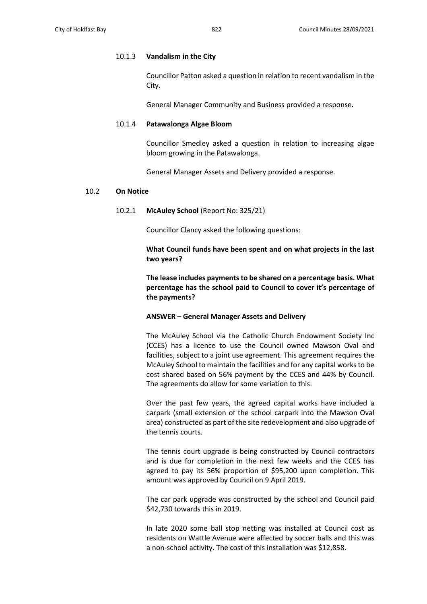#### 10.1.3 **Vandalism in the City**

Councillor Patton asked a question in relation to recent vandalism in the City.

General Manager Community and Business provided a response.

### 10.1.4 **Patawalonga Algae Bloom**

Councillor Smedley asked a question in relation to increasing algae bloom growing in the Patawalonga.

General Manager Assets and Delivery provided a response.

### 10.2 **On Notice**

10.2.1 **McAuley School** (Report No: 325/21)

Councillor Clancy asked the following questions:

**What Council funds have been spent and on what projects in the last two years?**

**The lease includes payments to be shared on a percentage basis. What percentage has the school paid to Council to cover it's percentage of the payments?**

#### **ANSWER – General Manager Assets and Delivery**

The McAuley School via the Catholic Church Endowment Society Inc (CCES) has a licence to use the Council owned Mawson Oval and facilities, subject to a joint use agreement. This agreement requires the McAuley School to maintain the facilities and for any capital works to be cost shared based on 56% payment by the CCES and 44% by Council. The agreements do allow for some variation to this.

Over the past few years, the agreed capital works have included a carpark (small extension of the school carpark into the Mawson Oval area) constructed as part of the site redevelopment and also upgrade of the tennis courts.

The tennis court upgrade is being constructed by Council contractors and is due for completion in the next few weeks and the CCES has agreed to pay its 56% proportion of \$95,200 upon completion. This amount was approved by Council on 9 April 2019.

The car park upgrade was constructed by the school and Council paid \$42,730 towards this in 2019.

In late 2020 some ball stop netting was installed at Council cost as residents on Wattle Avenue were affected by soccer balls and this was a non-school activity. The cost of this installation was \$12,858.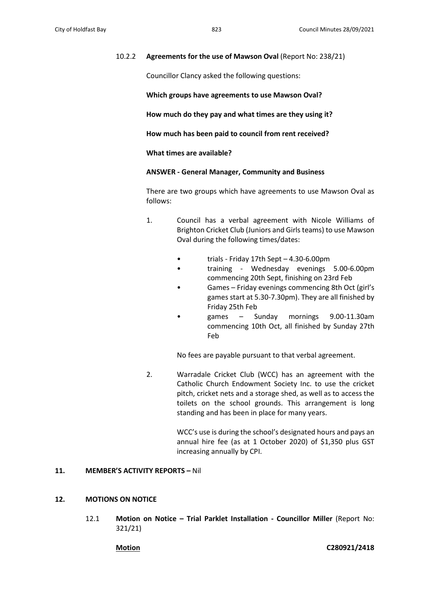### 10.2.2 **Agreements for the use of Mawson Oval** (Report No: 238/21)

Councillor Clancy asked the following questions:

**Which groups have agreements to use Mawson Oval?**

**How much do they pay and what times are they using it?**

**How much has been paid to council from rent received?**

**What times are available?**

**ANSWER - General Manager, Community and Business**

There are two groups which have agreements to use Mawson Oval as follows:

- 1. Council has a verbal agreement with Nicole Williams of Brighton Cricket Club (Juniors and Girls teams) to use Mawson Oval during the following times/dates:
	- trials Friday 17th Sept 4.30-6.00pm
	- training Wednesday evenings 5.00-6.00pm commencing 20th Sept, finishing on 23rd Feb
	- Games Friday evenings commencing 8th Oct (girl's games start at 5.30-7.30pm). They are all finished by Friday 25th Feb
	- games Sunday mornings 9.00-11.30am commencing 10th Oct, all finished by Sunday 27th Feb

No fees are payable pursuant to that verbal agreement.

2. Warradale Cricket Club (WCC) has an agreement with the Catholic Church Endowment Society Inc. to use the cricket pitch, cricket nets and a storage shed, as well as to access the toilets on the school grounds. This arrangement is long standing and has been in place for many years.

> WCC's use is during the school's designated hours and pays an annual hire fee (as at 1 October 2020) of \$1,350 plus GST increasing annually by CPI.

#### **11. MEMBER'S ACTIVITY REPORTS –** Nil

### **12. MOTIONS ON NOTICE**

12.1 **Motion on Notice – Trial Parklet Installation - Councillor Miller** (Report No: 321/21)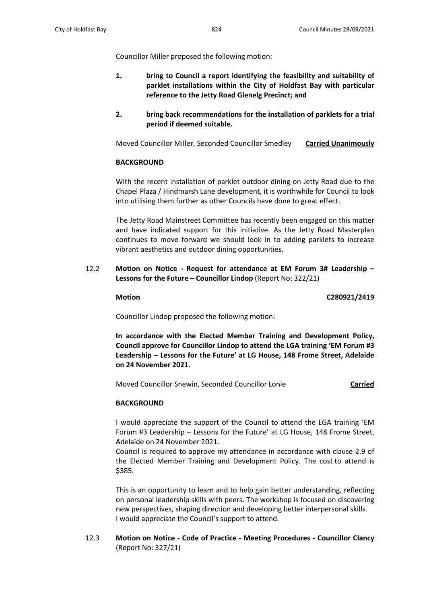Councillor Miller proposed the following motion:

- **1. bring to Council a report identifying the feasibility and suitability of parklet installations within the City of Holdfast Bay with particular reference to the Jetty Road Glenelg Precinct; and**
- **2. bring back recommendations for the installation of parklets for a trial period if deemed suitable.**

Moved Councillor Miller, Seconded Councillor Smedley **Carried Unanimously**

### **BACKGROUND**

With the recent installation of parklet outdoor dining on Jetty Road due to the Chapel Plaza / Hindmarsh Lane development, it is worthwhile for Council to look into utilising them further as other Councils have done to great effect.

The Jetty Road Mainstreet Committee has recently been engaged on this matter and have indicated support for this initiative. As the Jetty Road Masterplan continues to move forward we should look in to adding parklets to increase vibrant aesthetics and outdoor dining opportunities.

12.2 **Motion on Notice - Request for attendance at EM Forum 3# Leadership – Lessons for the Future – Councillor Lindop** (Report No: 322/21)

**Motion C280921/2419**

Councillor Lindop proposed the following motion:

**In accordance with the Elected Member Training and Development Policy, Council approve for Councillor Lindop to attend the LGA training 'EM Forum #3 Leadership – Lessons for the Future' at LG House, 148 Frome Street, Adelaide on 24 November 2021.**

Moved Councillor Snewin, Seconded Councillor Lonie **Carried**

# **BACKGROUND**

I would appreciate the support of the Council to attend the LGA training 'EM Forum #3 Leadership – Lessons for the Future' at LG House, 148 Frome Street, Adelaide on 24 November 2021.

Council is required to approve my attendance in accordance with clause 2.9 of the Elected Member Training and Development Policy. The cost to attend is \$385.

This is an opportunity to learn and to help gain better understanding, reflecting on personal leadership skills with peers. The workshop is focused on discovering new perspectives, shaping direction and developing better interpersonal skills. I would appreciate the Council's support to attend.

12.3 **Motion on Notice - Code of Practice - Meeting Procedures - Councillor Clancy**  (Report No: 327/21)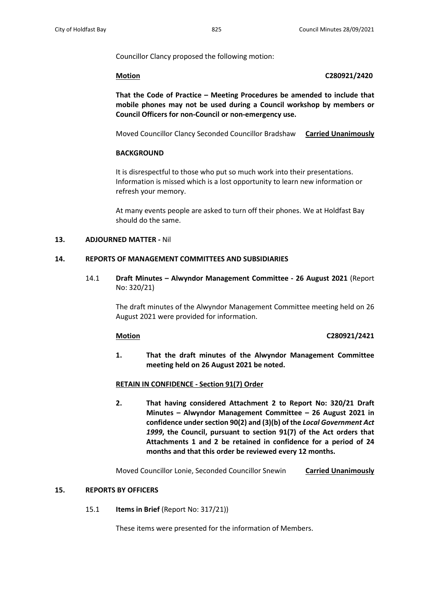Councillor Clancy proposed the following motion:

#### **Motion C280921/2420**

**That the Code of Practice – Meeting Procedures be amended to include that mobile phones may not be used during a Council workshop by members or Council Officers for non-Council or non-emergency use.**

Moved Councillor Clancy Seconded Councillor Bradshaw **Carried Unanimously**

### **BACKGROUND**

It is disrespectful to those who put so much work into their presentations. Information is missed which is a lost opportunity to learn new information or refresh your memory.

At many events people are asked to turn off their phones. We at Holdfast Bay should do the same.

### **13. ADJOURNED MATTER -** Nil

## **14. REPORTS OF MANAGEMENT COMMITTEES AND SUBSIDIARIES**

14.1 **Draft Minutes – Alwyndor Management Committee - 26 August 2021** (Report No: 320/21)

> The draft minutes of the Alwyndor Management Committee meeting held on 26 August 2021 were provided for information.

#### **Motion C280921/2421**

**1. That the draft minutes of the Alwyndor Management Committee meeting held on 26 August 2021 be noted.**

#### **RETAIN IN CONFIDENCE - Section 91(7) Order**

**2. That having considered Attachment 2 to Report No: 320/21 Draft Minutes – Alwyndor Management Committee – 26 August 2021 in confidence under section 90(2) and (3)(b) of the** *Local Government Act 1999***, the Council, pursuant to section 91(7) of the Act orders that Attachments 1 and 2 be retained in confidence for a period of 24 months and that this order be reviewed every 12 months.**

Moved Councillor Lonie, Seconded Councillor Snewin **Carried Unanimously**

## **15. REPORTS BY OFFICERS**

15.1 **Items in Brief** (Report No: 317/21))

These items were presented for the information of Members.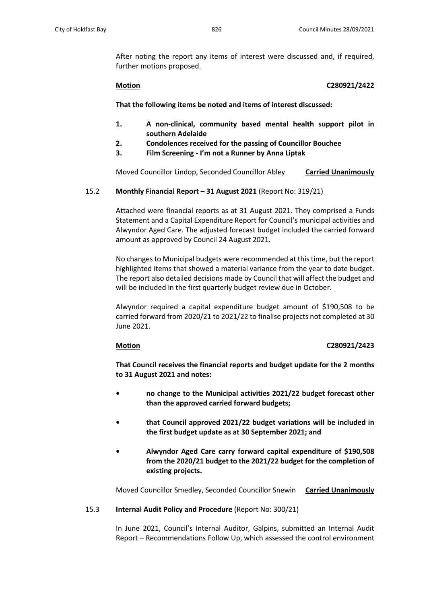After noting the report any items of interest were discussed and, if required, further motions proposed.

## **Motion C280921/2422**

**That the following items be noted and items of interest discussed:** 

- **1. A non-clinical, community based mental health support pilot in southern Adelaide**
- **2. Condolences received for the passing of Councillor Bouchee**
- **3. Film Screening - I'm not a Runner by Anna Liptak**

Moved Councillor Lindop, Seconded Councillor Abley **Carried Unanimously**

# 15.2 **Monthly Financial Report – 31 August 2021** (Report No: 319/21)

Attached were financial reports as at 31 August 2021. They comprised a Funds Statement and a Capital Expenditure Report for Council's municipal activities and Alwyndor Aged Care. The adjusted forecast budget included the carried forward amount as approved by Council 24 August 2021.

No changes to Municipal budgets were recommended at this time, but the report highlighted items that showed a material variance from the year to date budget. The report also detailed decisions made by Council that will affect the budget and will be included in the first quarterly budget review due in October.

Alwyndor required a capital expenditure budget amount of \$190,508 to be carried forward from 2020/21 to 2021/22 to finalise projects not completed at 30 June 2021.

# **Motion C280921/2423**

**That Council receives the financial reports and budget update for the 2 months to 31 August 2021 and notes:**

- **• no change to the Municipal activities 2021/22 budget forecast other than the approved carried forward budgets;**
- **• that Council approved 2021/22 budget variations will be included in the first budget update as at 30 September 2021; and**
- **• Alwyndor Aged Care carry forward capital expenditure of \$190,508 from the 2020/21 budget to the 2021/22 budget for the completion of existing projects.**

Moved Councillor Smedley, Seconded Councillor Snewin **Carried Unanimously**

# 15.3 **Internal Audit Policy and Procedure** (Report No: 300/21)

In June 2021, Council's Internal Auditor, Galpins, submitted an Internal Audit Report – Recommendations Follow Up, which assessed the control environment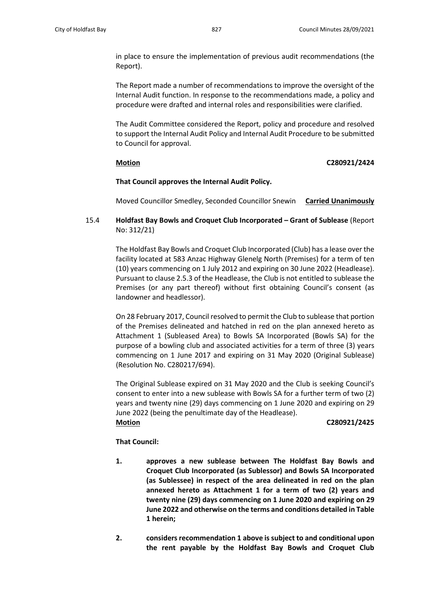in place to ensure the implementation of previous audit recommendations (the Report).

The Report made a number of recommendations to improve the oversight of the Internal Audit function. In response to the recommendations made, a policy and procedure were drafted and internal roles and responsibilities were clarified.

The Audit Committee considered the Report, policy and procedure and resolved to support the Internal Audit Policy and Internal Audit Procedure to be submitted to Council for approval.

## **Motion C280921/2424**

## **That Council approves the Internal Audit Policy.**

Moved Councillor Smedley, Seconded Councillor Snewin **Carried Unanimously**

# 15.4 **Holdfast Bay Bowls and Croquet Club Incorporated – Grant of Sublease** (Report No: 312/21)

The Holdfast Bay Bowls and Croquet Club Incorporated (Club) has a lease over the facility located at 583 Anzac Highway Glenelg North (Premises) for a term of ten (10) years commencing on 1 July 2012 and expiring on 30 June 2022 (Headlease). Pursuant to clause 2.5.3 of the Headlease, the Club is not entitled to sublease the Premises (or any part thereof) without first obtaining Council's consent (as landowner and headlessor).

On 28 February 2017, Council resolved to permit the Club to sublease that portion of the Premises delineated and hatched in red on the plan annexed hereto as Attachment 1 (Subleased Area) to Bowls SA Incorporated (Bowls SA) for the purpose of a bowling club and associated activities for a term of three (3) years commencing on 1 June 2017 and expiring on 31 May 2020 (Original Sublease) (Resolution No. C280217/694).

The Original Sublease expired on 31 May 2020 and the Club is seeking Council's consent to enter into a new sublease with Bowls SA for a further term of two (2) years and twenty nine (29) days commencing on 1 June 2020 and expiring on 29 June 2022 (being the penultimate day of the Headlease).

## **Motion C280921/2425**

# **That Council:**

- **1. approves a new sublease between The Holdfast Bay Bowls and Croquet Club Incorporated (as Sublessor) and Bowls SA Incorporated (as Sublessee) in respect of the area delineated in red on the plan annexed hereto as Attachment 1 for a term of two (2) years and twenty nine (29) days commencing on 1 June 2020 and expiring on 29 June 2022 and otherwise on the terms and conditions detailed in Table 1 herein;**
- **2. considers recommendation 1 above is subject to and conditional upon the rent payable by the Holdfast Bay Bowls and Croquet Club**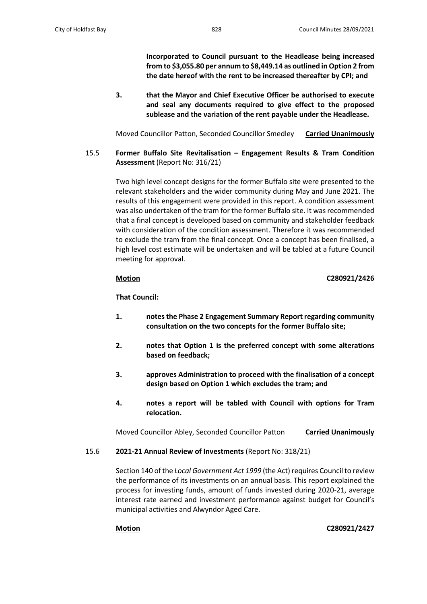**Incorporated to Council pursuant to the Headlease being increased from to \$3,055.80 per annum to \$8,449.14 as outlined in Option 2 from the date hereof with the rent to be increased thereafter by CPI; and**

**3. that the Mayor and Chief Executive Officer be authorised to execute and seal any documents required to give effect to the proposed sublease and the variation of the rent payable under the Headlease.**

Moved Councillor Patton, Seconded Councillor Smedley **Carried Unanimously**

15.5 **Former Buffalo Site Revitalisation – Engagement Results & Tram Condition Assessment** (Report No: 316/21)

> Two high level concept designs for the former Buffalo site were presented to the relevant stakeholders and the wider community during May and June 2021. The results of this engagement were provided in this report. A condition assessment was also undertaken of the tram for the former Buffalo site. It was recommended that a final concept is developed based on community and stakeholder feedback with consideration of the condition assessment. Therefore it was recommended to exclude the tram from the final concept. Once a concept has been finalised, a high level cost estimate will be undertaken and will be tabled at a future Council meeting for approval.

# **Motion C280921/2426**

## **That Council:**

- **1. notes the Phase 2 Engagement Summary Report regarding community consultation on the two concepts for the former Buffalo site;**
- **2. notes that Option 1 is the preferred concept with some alterations based on feedback;**
- **3. approves Administration to proceed with the finalisation of a concept design based on Option 1 which excludes the tram; and**
- **4. notes a report will be tabled with Council with options for Tram relocation.**

Moved Councillor Abley, Seconded Councillor Patton **Carried Unanimously**

15.6 **2021-21 Annual Review of Investments** (Report No: 318/21)

Section 140 of the *Local Government Act 1999* (the Act) requires Council to review the performance of its investments on an annual basis. This report explained the process for investing funds, amount of funds invested during 2020-21, average interest rate earned and investment performance against budget for Council's municipal activities and Alwyndor Aged Care.

**Motion C280921/2427**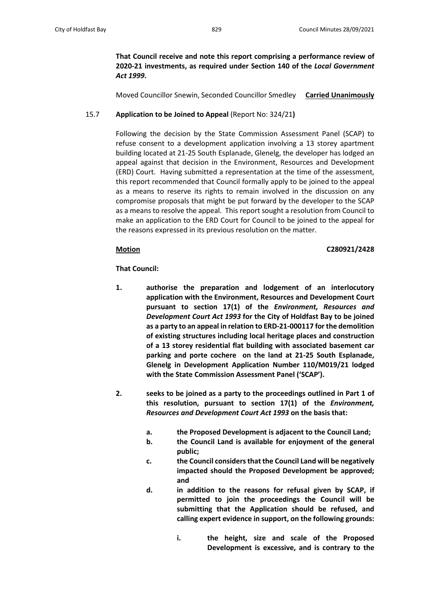**That Council receive and note this report comprising a performance review of 2020-21 investments, as required under Section 140 of the** *Local Government Act 1999***.**

Moved Councillor Snewin, Seconded Councillor Smedley **Carried Unanimously**

# 15.7 **Application to be Joined to Appeal** (Report No: 324/21**)**

Following the decision by the State Commission Assessment Panel (SCAP) to refuse consent to a development application involving a 13 storey apartment building located at 21-25 South Esplanade, Glenelg, the developer has lodged an appeal against that decision in the Environment, Resources and Development (ERD) Court. Having submitted a representation at the time of the assessment, this report recommended that Council formally apply to be joined to the appeal as a means to reserve its rights to remain involved in the discussion on any compromise proposals that might be put forward by the developer to the SCAP as a means to resolve the appeal. This report sought a resolution from Council to make an application to the ERD Court for Council to be joined to the appeal for the reasons expressed in its previous resolution on the matter.

## **Motion C280921/2428**

**That Council:**

- **1. authorise the preparation and lodgement of an interlocutory application with the Environment, Resources and Development Court pursuant to section 17(1) of the** *Environment, Resources and Development Court Act 1993* **for the City of Holdfast Bay to be joined as a party to an appeal in relation to ERD-21-000117 for the demolition of existing structures including local heritage places and construction of a 13 storey residential flat building with associated basement car parking and porte cochere on the land at 21-25 South Esplanade, Glenelg in Development Application Number 110/M019/21 lodged with the State Commission Assessment Panel ('SCAP').**
- **2. seeks to be joined as a party to the proceedings outlined in Part 1 of this resolution, pursuant to section 17(1) of the** *Environment, Resources and Development Court Act 1993* **on the basis that:**
	- **a. the Proposed Development is adjacent to the Council Land;**
	- **b. the Council Land is available for enjoyment of the general public;**
	- **c. the Council considers that the Council Land will be negatively impacted should the Proposed Development be approved; and**
	- **d. in addition to the reasons for refusal given by SCAP, if permitted to join the proceedings the Council will be submitting that the Application should be refused, and calling expert evidence in support, on the following grounds:**
		- **i. the height, size and scale of the Proposed Development is excessive, and is contrary to the**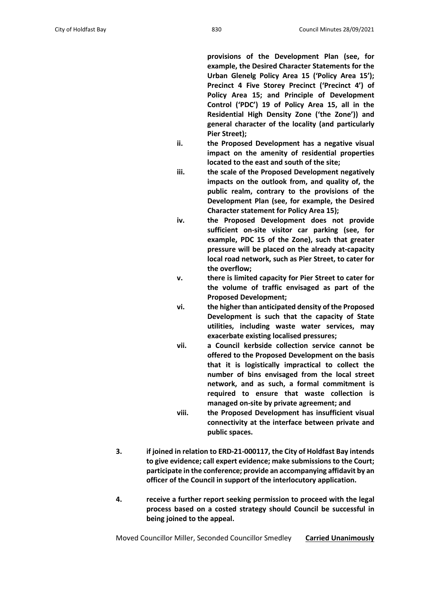**provisions of the Development Plan (see, for example, the Desired Character Statements for the Urban Glenelg Policy Area 15 ('Policy Area 15'); Precinct 4 Five Storey Precinct ('Precinct 4') of Policy Area 15; and Principle of Development Control ('PDC') 19 of Policy Area 15, all in the Residential High Density Zone ('the Zone')) and general character of the locality (and particularly Pier Street);**

- **ii. the Proposed Development has a negative visual impact on the amenity of residential properties located to the east and south of the site;**
- **iii. the scale of the Proposed Development negatively impacts on the outlook from, and quality of, the public realm, contrary to the provisions of the Development Plan (see, for example, the Desired Character statement for Policy Area 15);**
- **iv. the Proposed Development does not provide sufficient on-site visitor car parking (see, for example, PDC 15 of the Zone), such that greater pressure will be placed on the already at-capacity local road network, such as Pier Street, to cater for the overflow;**
- **v. there is limited capacity for Pier Street to cater for the volume of traffic envisaged as part of the Proposed Development;**
- **vi. the higher than anticipated density of the Proposed Development is such that the capacity of State utilities, including waste water services, may exacerbate existing localised pressures;**
- **vii. a Council kerbside collection service cannot be offered to the Proposed Development on the basis that it is logistically impractical to collect the number of bins envisaged from the local street network, and as such, a formal commitment is required to ensure that waste collection is managed on-site by private agreement; and**
- **viii. the Proposed Development has insufficient visual connectivity at the interface between private and public spaces.**
- **3. if joined in relation to ERD-21-000117, the City of Holdfast Bay intends to give evidence; call expert evidence; make submissions to the Court; participate in the conference; provide an accompanying affidavit by an officer of the Council in support of the interlocutory application.**
- **4. receive a further report seeking permission to proceed with the legal process based on a costed strategy should Council be successful in being joined to the appeal.**

Moved Councillor Miller, Seconded Councillor Smedley **Carried Unanimously**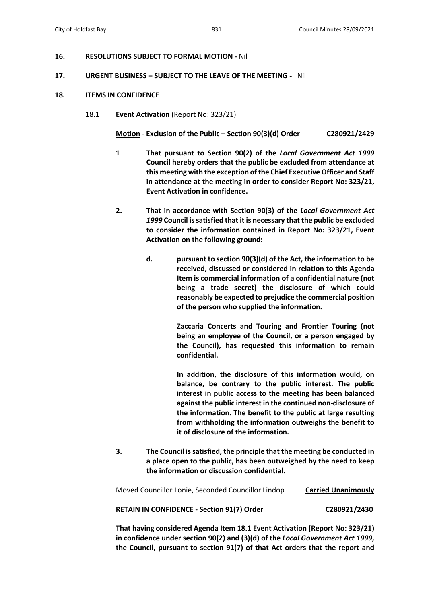#### **16. RESOLUTIONS SUBJECT TO FORMAL MOTION -** Nil

#### **17. URGENT BUSINESS – SUBJECT TO THE LEAVE OF THE MEETING -** Nil

#### **18. ITEMS IN CONFIDENCE**

18.1 **Event Activation** (Report No: 323/21)

**Motion - Exclusion of the Public – Section 90(3)(d) Order C280921/2429**

- **1 That pursuant to Section 90(2) of the** *Local Government Act 1999* **Council hereby orders that the public be excluded from attendance at this meeting with the exception of the Chief Executive Officer and Staff in attendance at the meeting in order to consider Report No: 323/21, Event Activation in confidence.**
- **2. That in accordance with Section 90(3) of the** *Local Government Act 1999* **Council is satisfied that it is necessary that the public be excluded to consider the information contained in Report No: 323/21, Event Activation on the following ground:**
	- **d. pursuant to section 90(3)(d) of the Act, the information to be received, discussed or considered in relation to this Agenda Item is commercial information of a confidential nature (not being a trade secret) the disclosure of which could reasonably be expected to prejudice the commercial position of the person who supplied the information.**

**Zaccaria Concerts and Touring and Frontier Touring (not being an employee of the Council, or a person engaged by the Council), has requested this information to remain confidential.**

**In addition, the disclosure of this information would, on balance, be contrary to the public interest. The public interest in public access to the meeting has been balanced against the public interest in the continued non-disclosure of the information. The benefit to the public at large resulting from withholding the information outweighs the benefit to it of disclosure of the information.** 

**3. The Council is satisfied, the principle that the meeting be conducted in a place open to the public, has been outweighed by the need to keep the information or discussion confidential.**

| Moved Councillor Lonie, Seconded Councillor Lindop | <b>Carried Unanimously</b> |
|----------------------------------------------------|----------------------------|
| <b>RETAIN IN CONFIDENCE - Section 91(7) Order</b>  | C280921/2430               |

**That having considered Agenda Item 18.1 Event Activation (Report No: 323/21) in confidence under section 90(2) and (3)(d) of the** *Local Government Act 1999***, the Council, pursuant to section 91(7) of that Act orders that the report and**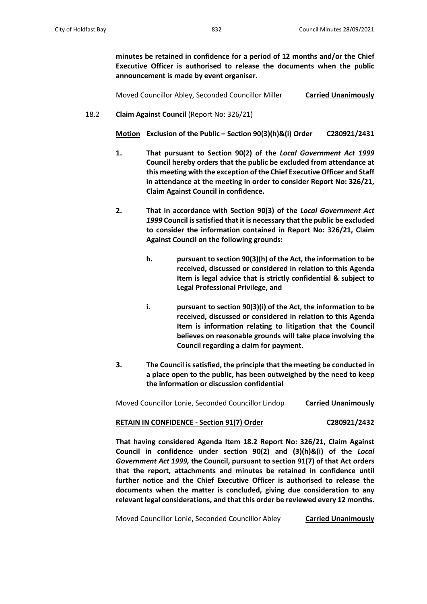**minutes be retained in confidence for a period of 12 months and/or the Chief Executive Officer is authorised to release the documents when the public announcement is made by event organiser.**

Moved Councillor Abley, Seconded Councillor Miller **Carried Unanimously**

18.2 **Claim Against Council** (Report No: 326/21)

**Motion Exclusion of the Public – Section 90(3)(h)&(i) Order C280921/2431**

- **1. That pursuant to Section 90(2) of the** *Local Government Act 1999* **Council hereby orders that the public be excluded from attendance at this meeting with the exception of the Chief Executive Officer and Staff in attendance at the meeting in order to consider Report No: 326/21, Claim Against Council in confidence.**
- **2. That in accordance with Section 90(3) of the** *Local Government Act 1999* **Council is satisfied that it is necessary that the public be excluded to consider the information contained in Report No: 326/21, Claim Against Council on the following grounds:**
	- **h. pursuant to section 90(3)(h) of the Act, the information to be received, discussed or considered in relation to this Agenda Item is legal advice that is strictly confidential & subject to Legal Professional Privilege, and**
	- **i. pursuant to section 90(3)(i) of the Act, the information to be received, discussed or considered in relation to this Agenda Item is information relating to litigation that the Council believes on reasonable grounds will take place involving the Council regarding a claim for payment.**
- **3. The Council is satisfied, the principle that the meeting be conducted in a place open to the public, has been outweighed by the need to keep the information or discussion confidential**

Moved Councillor Lonie, Seconded Councillor Lindop **Carried Unanimously**

# **RETAIN IN CONFIDENCE - Section 91(7) Order C280921/2432**

**That having considered Agenda Item 18.2 Report No: 326/21, Claim Against Council in confidence under section 90(2) and (3)(h)&(i) of the** *Local Government Act 1999,* **the Council, pursuant to section 91(7) of that Act orders that the report, attachments and minutes be retained in confidence until further notice and the Chief Executive Officer is authorised to release the documents when the matter is concluded, giving due consideration to any relevant legal considerations, and that this order be reviewed every 12 months.**

Moved Councillor Lonie, Seconded Councillor Abley **Carried Unanimously**